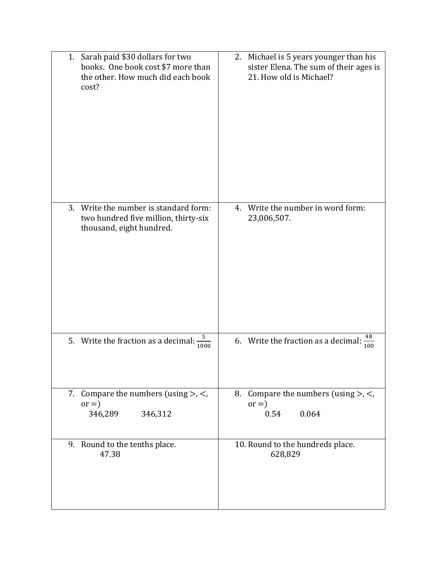| 1. Sarah paid \$30 dollars for two<br>books. One book cost \$7 more than<br>the other. How much did each book<br>cost? | 2. Michael is 5 years younger than his<br>sister Elena. The sum of their ages is<br>21. How old is Michael? |
|------------------------------------------------------------------------------------------------------------------------|-------------------------------------------------------------------------------------------------------------|
| Write the number is standard form:<br>3.<br>two hundred five million, thirty-six<br>thousand, eight hundred.           | Write the number in word form:<br>4.<br>23,006,507.                                                         |
| 5<br>5. Write the fraction as a decimal:<br>$1000\,$                                                                   | 48<br>6. Write the fraction as a decimal:<br>100                                                            |
| Compare the numbers (using $>$ , $<$ ,<br>7.<br>$or =)$<br>346,289<br>346,312                                          | 8. Compare the numbers (using $>$ , $<$ ,<br>$or =)$<br>0.064<br>0.54                                       |
| 9. Round to the tenths place.<br>47.38                                                                                 | 10. Round to the hundreds place.<br>628,829                                                                 |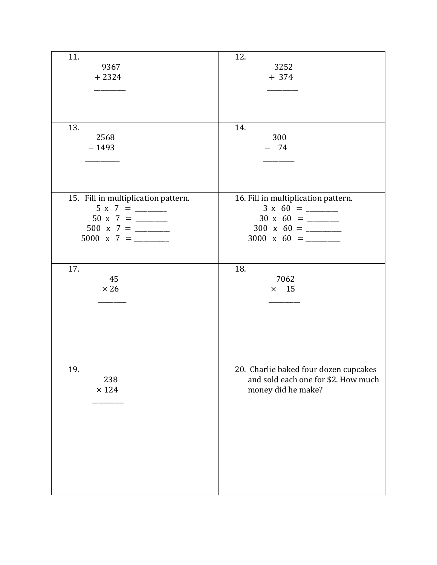| 11.                                 | 12.                                   |
|-------------------------------------|---------------------------------------|
|                                     |                                       |
| 9367                                | 3252                                  |
| $+2324$                             | $+374$                                |
|                                     |                                       |
|                                     |                                       |
|                                     |                                       |
|                                     |                                       |
|                                     |                                       |
|                                     |                                       |
| 13.                                 | 14.                                   |
| 2568                                | 300                                   |
| $-1493$                             | $-74$                                 |
|                                     |                                       |
|                                     |                                       |
|                                     |                                       |
|                                     |                                       |
|                                     |                                       |
|                                     |                                       |
| 15. Fill in multiplication pattern. | 16. Fill in multiplication pattern.   |
|                                     | $3 \times 60 =$                       |
|                                     |                                       |
| 500 x 7 = $\frac{1}{2}$             | $300 \times 60 =$                     |
|                                     |                                       |
|                                     |                                       |
|                                     |                                       |
|                                     |                                       |
| 17.                                 | 18.                                   |
|                                     |                                       |
| 45                                  | 7062                                  |
| $\times 26$                         | $\times$ 15                           |
|                                     |                                       |
|                                     |                                       |
|                                     |                                       |
|                                     |                                       |
|                                     |                                       |
|                                     |                                       |
|                                     |                                       |
|                                     |                                       |
|                                     |                                       |
| 19.                                 | 20. Charlie baked four dozen cupcakes |
| 238                                 | and sold each one for \$2. How much   |
|                                     |                                       |
| $\times$ 124                        | money did he make?                    |
|                                     |                                       |
|                                     |                                       |
|                                     |                                       |
|                                     |                                       |
|                                     |                                       |
|                                     |                                       |
|                                     |                                       |
|                                     |                                       |
|                                     |                                       |
|                                     |                                       |
|                                     |                                       |
|                                     |                                       |
|                                     |                                       |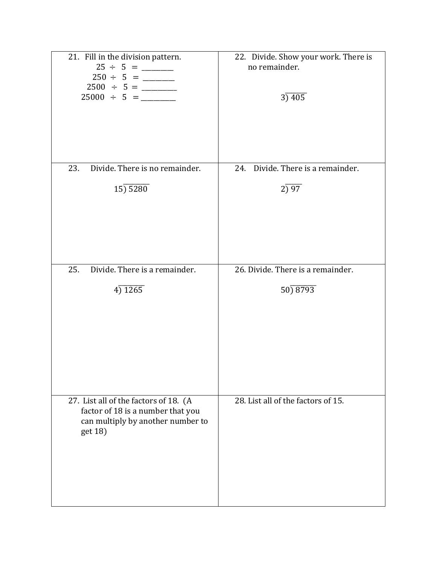| 21. Fill in the division pattern.<br>$25000 \div 5 =$                                                                      | 22. Divide. Show your work. There is<br>no remainder.<br>3) 405 |
|----------------------------------------------------------------------------------------------------------------------------|-----------------------------------------------------------------|
| Divide. There is no remainder.<br>23.                                                                                      | 24. Divide. There is a remainder.                               |
| 15) 5280                                                                                                                   | 2) 97                                                           |
| 25.<br>Divide. There is a remainder.                                                                                       | 26. Divide. There is a remainder.                               |
| 4)1265                                                                                                                     | 50) 8793                                                        |
| 27. List all of the factors of 18. (A<br>factor of 18 is a number that you<br>can multiply by another number to<br>get 18) | 28. List all of the factors of 15.                              |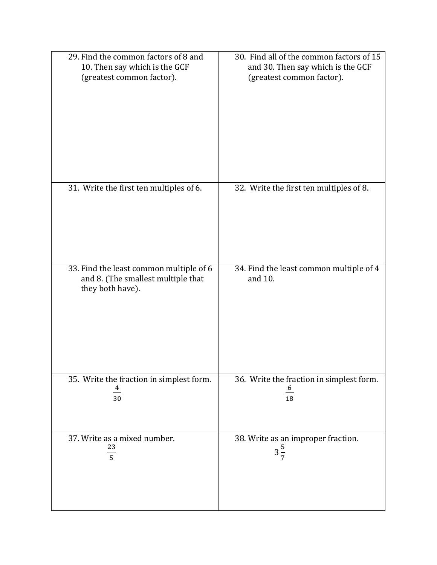| 29. Find the common factors of 8 and                                                              | 30. Find all of the common factors of 15           |
|---------------------------------------------------------------------------------------------------|----------------------------------------------------|
| 10. Then say which is the GCF                                                                     | and 30. Then say which is the GCF                  |
| (greatest common factor).                                                                         | (greatest common factor).                          |
| 31. Write the first ten multiples of 6.                                                           | 32. Write the first ten multiples of 8.            |
| 33. Find the least common multiple of 6<br>and 8. (The smallest multiple that<br>they both have). | 34. Find the least common multiple of 4<br>and 10. |
| 35. Write the fraction in simplest form.                                                          | 36. Write the fraction in simplest form.           |
| 4                                                                                                 | $\frac{6}{1}$                                      |
| 30                                                                                                | 18                                                 |
| 37. Write as a mixed number.                                                                      | 38. Write as an improper fraction.                 |
| $\frac{23}{5}$                                                                                    | $3\frac{5}{7}$                                     |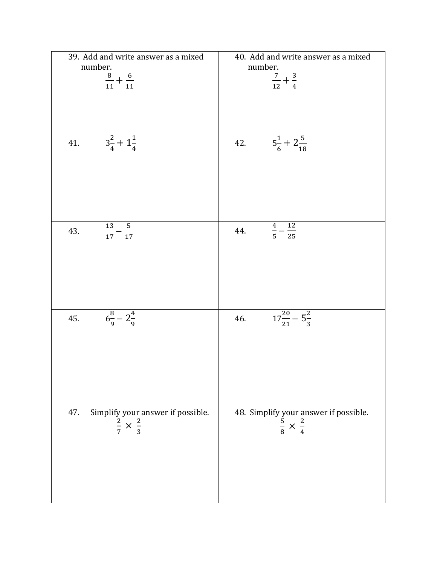| 39. Add and write answer as a mixed                                          | 40. Add and write answer as a mixed                                             |
|------------------------------------------------------------------------------|---------------------------------------------------------------------------------|
| number.                                                                      | number.                                                                         |
| $\frac{8}{11}+\frac{6}{11}$                                                  | $\frac{7}{12} + \frac{3}{4}$                                                    |
|                                                                              |                                                                                 |
|                                                                              |                                                                                 |
|                                                                              |                                                                                 |
|                                                                              |                                                                                 |
|                                                                              |                                                                                 |
| $3\frac{2}{4}+1\frac{1}{4}$<br>41.                                           | $5\frac{1}{6} + 2\frac{5}{18}$<br>42.                                           |
|                                                                              |                                                                                 |
|                                                                              |                                                                                 |
|                                                                              |                                                                                 |
|                                                                              |                                                                                 |
|                                                                              |                                                                                 |
|                                                                              |                                                                                 |
|                                                                              |                                                                                 |
| 13<br>$\overline{\phantom{0}}$<br>43.<br>$\overline{17}$<br>$\frac{1}{17}$ – | $\overline{12}$<br>$\boldsymbol{4}$<br>44.<br>$\overline{5}$<br>$\overline{25}$ |
|                                                                              |                                                                                 |
|                                                                              |                                                                                 |
|                                                                              |                                                                                 |
|                                                                              |                                                                                 |
|                                                                              |                                                                                 |
|                                                                              |                                                                                 |
|                                                                              |                                                                                 |
| $6\frac{8}{9}-2\frac{4}{9}$<br>45.                                           | $17\frac{20}{21} - 5\frac{2}{3}$<br>46.                                         |
|                                                                              |                                                                                 |
|                                                                              |                                                                                 |
|                                                                              |                                                                                 |
|                                                                              |                                                                                 |
|                                                                              |                                                                                 |
|                                                                              |                                                                                 |
|                                                                              |                                                                                 |
|                                                                              |                                                                                 |
| 47.<br>Simplify your answer if possible.                                     | 48. Simplify your answer if possible.                                           |
| $rac{2}{7} \times \frac{2}{3}$                                               | $rac{5}{8} \times \frac{2}{4}$                                                  |
|                                                                              |                                                                                 |
|                                                                              |                                                                                 |
|                                                                              |                                                                                 |
|                                                                              |                                                                                 |
|                                                                              |                                                                                 |
|                                                                              |                                                                                 |
|                                                                              |                                                                                 |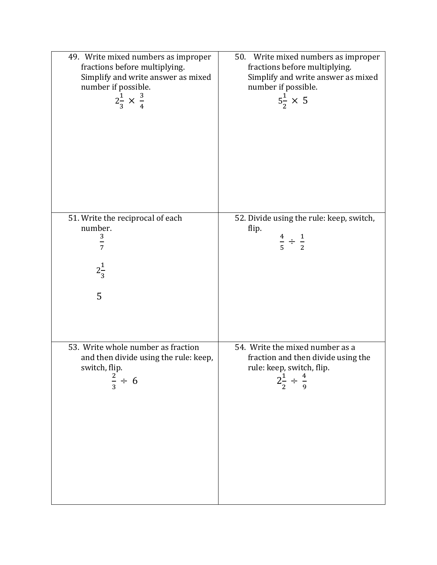| 49. Write mixed numbers as improper<br>fractions before multiplying.<br>Simplify and write answer as mixed<br>number if possible.<br>$2\frac{1}{3} \times \frac{3}{4}$ | 50. Write mixed numbers as improper<br>fractions before multiplying.<br>Simplify and write answer as mixed<br>number if possible.<br>$5\frac{1}{2} \times 5$ |
|------------------------------------------------------------------------------------------------------------------------------------------------------------------------|--------------------------------------------------------------------------------------------------------------------------------------------------------------|
| 51. Write the reciprocal of each<br>number.                                                                                                                            | 52. Divide using the rule: keep, switch,<br>flip.                                                                                                            |
| 3<br>$\frac{1}{7}$                                                                                                                                                     | $\frac{4}{5} \div \frac{1}{2}$                                                                                                                               |
|                                                                                                                                                                        |                                                                                                                                                              |
| $2\frac{1}{3}$                                                                                                                                                         |                                                                                                                                                              |
| 5                                                                                                                                                                      |                                                                                                                                                              |
|                                                                                                                                                                        |                                                                                                                                                              |
| 53. Write whole number as fraction<br>and then divide using the rule: keep,                                                                                            | 54. Write the mixed number as a<br>fraction and then divide using the                                                                                        |
| switch, flip.                                                                                                                                                          | rule: keep, switch, flip.<br>$2\frac{1}{2} \div \frac{4}{9}$                                                                                                 |
| $rac{2}{3} \div 6$                                                                                                                                                     |                                                                                                                                                              |
|                                                                                                                                                                        |                                                                                                                                                              |
|                                                                                                                                                                        |                                                                                                                                                              |
|                                                                                                                                                                        |                                                                                                                                                              |
|                                                                                                                                                                        |                                                                                                                                                              |
|                                                                                                                                                                        |                                                                                                                                                              |
|                                                                                                                                                                        |                                                                                                                                                              |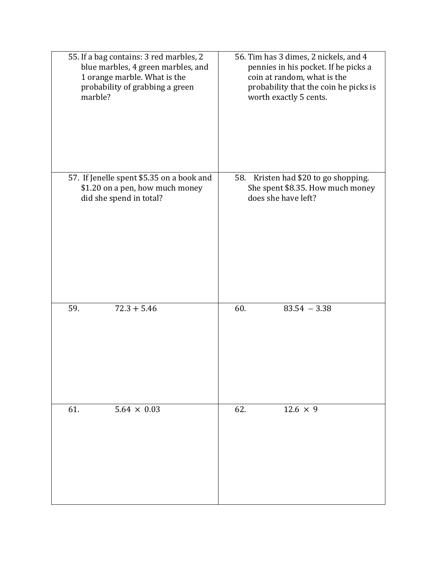| 55. If a bag contains: 3 red marbles, 2   | 56. Tim has 3 dimes, 2 nickels, and 4 |
|-------------------------------------------|---------------------------------------|
| blue marbles, 4 green marbles, and        | pennies in his pocket. If he picks a  |
| 1 orange marble. What is the              | coin at random, what is the           |
| probability of grabbing a green           | probability that the coin he picks is |
| marble?                                   | worth exactly 5 cents.                |
| 57. If Jenelle spent \$5.35 on a book and | 58. Kristen had \$20 to go shopping.  |
| \$1.20 on a pen, how much money           | She spent \$8.35. How much money      |
| did she spend in total?                   | does she have left?                   |
| $72.3 + 5.46$                             | $83.54 - 3.38$                        |
| 59.                                       | 60.                                   |
| 61.                                       | $12.6 \times 9$                       |
| $5.64 \times 0.03$                        | 62.                                   |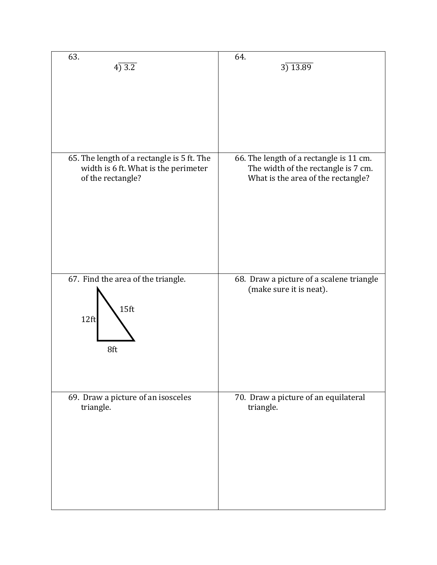| 63.                                                                   | 64.                                                                 |
|-----------------------------------------------------------------------|---------------------------------------------------------------------|
| 4)3.2                                                                 | 3)13.89                                                             |
| 65. The length of a rectangle is 5 ft. The                            | 66. The length of a rectangle is 11 cm.                             |
| width is 6 ft. What is the perimeter                                  | The width of the rectangle is 7 cm.                                 |
| of the rectangle?                                                     | What is the area of the rectangle?                                  |
| 67. Find the area of the triangle.<br>15 <sub>ft</sub><br>12ft<br>8ft | 68. Draw a picture of a scalene triangle<br>(make sure it is neat). |
| 69. Draw a picture of an isosceles                                    | 70. Draw a picture of an equilateral                                |
| triangle.                                                             | triangle.                                                           |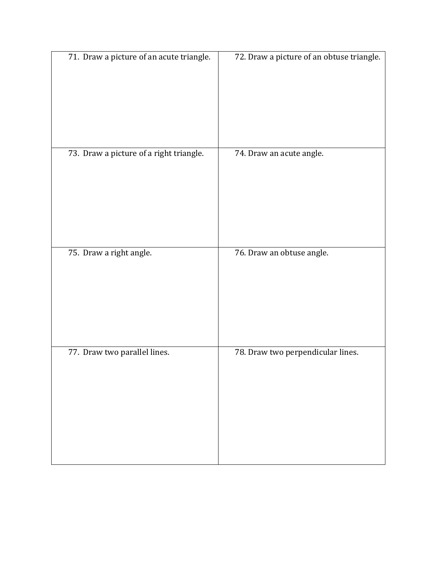| 71. Draw a picture of an acute triangle. | 72. Draw a picture of an obtuse triangle. |
|------------------------------------------|-------------------------------------------|
| 73. Draw a picture of a right triangle.  | 74. Draw an acute angle.                  |
| 75. Draw a right angle.                  | 76. Draw an obtuse angle.                 |
| 77. Draw two parallel lines.             | 78. Draw two perpendicular lines.         |